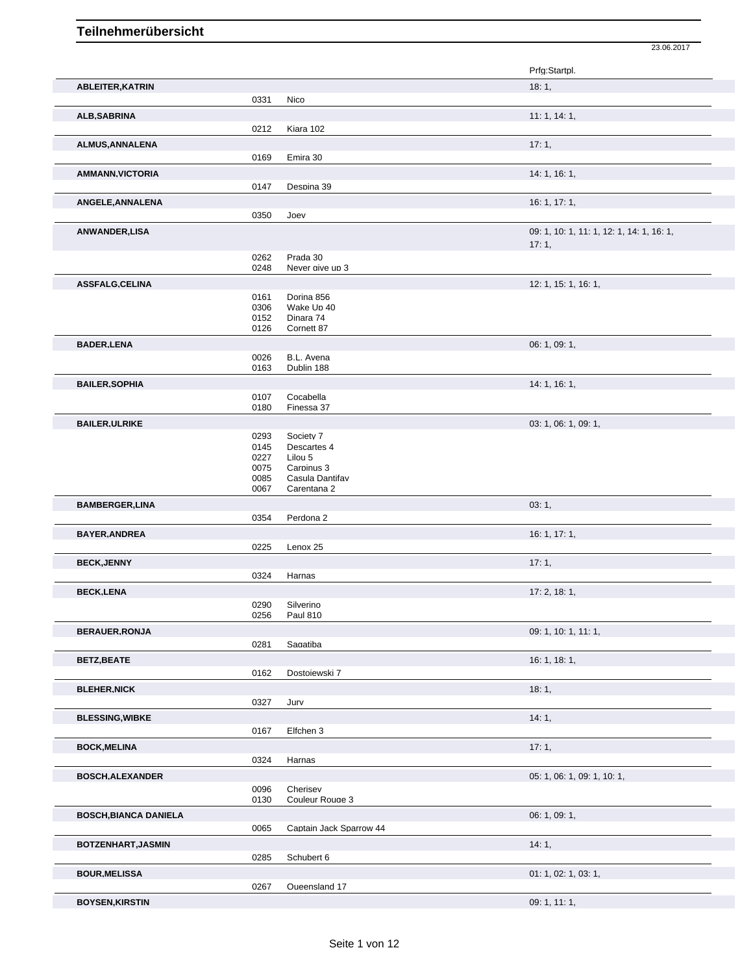|                              |              |                               | 23.06.2017                                |
|------------------------------|--------------|-------------------------------|-------------------------------------------|
|                              |              |                               | Prfg:Startpl.                             |
| <b>ABLEITER, KATRIN</b>      |              |                               | 18:1,                                     |
|                              | 0331         | Nico                          |                                           |
|                              |              |                               |                                           |
| <b>ALB, SABRINA</b>          |              |                               | 11: 1, 14: 1,                             |
|                              | 0212         | Kiara 102                     |                                           |
| <b>ALMUS, ANNALENA</b>       |              |                               | 17:1,                                     |
|                              | 0169         | Emira 30                      |                                           |
| <b>AMMANN, VICTORIA</b>      |              |                               | 14: 1, 16: 1,                             |
|                              | 0147         | Despina 39                    |                                           |
| ANGELE, ANNALENA             |              |                               | 16: 1, 17: 1,                             |
|                              | 0350         | Joev                          |                                           |
|                              |              |                               |                                           |
| <b>ANWANDER,LISA</b>         |              |                               | 09: 1, 10: 1, 11: 1, 12: 1, 14: 1, 16: 1, |
|                              |              |                               | 17:1,                                     |
|                              | 0262<br>0248 | Prada 30<br>Never aive up 3   |                                           |
|                              |              |                               |                                           |
| <b>ASSFALG,CELINA</b>        |              |                               | 12: 1, 15: 1, 16: 1,                      |
|                              | 0161         | Dorina 856                    |                                           |
|                              | 0306         | Wake Up 40                    |                                           |
|                              | 0152<br>0126 | Dinara 74<br>Cornett 87       |                                           |
|                              |              |                               |                                           |
| <b>BADER,LENA</b>            |              |                               | 06: 1, 09: 1,                             |
|                              | 0026<br>0163 | B.L. Avena<br>Dublin 188      |                                           |
|                              |              |                               |                                           |
| <b>BAILER, SOPHIA</b>        |              |                               | 14: 1, 16: 1,                             |
|                              | 0107         | Cocabella                     |                                           |
|                              | 0180         | Finessa 37                    |                                           |
| <b>BAILER, ULRIKE</b>        |              |                               | 03: 1, 06: 1, 09: 1,                      |
|                              | 0293         | Society 7                     |                                           |
|                              | 0145         | Descartes 4                   |                                           |
|                              | 0227         | Lilou 5                       |                                           |
|                              | 0075<br>0085 | Carpinus 3<br>Casula Dantifav |                                           |
|                              | 0067         | Carentana 2                   |                                           |
| <b>BAMBERGER,LINA</b>        |              |                               | 03:1,                                     |
|                              | 0354         | Perdona 2                     |                                           |
|                              |              |                               |                                           |
| <b>BAYER, ANDREA</b>         |              |                               | 16: 1, 17: 1,                             |
|                              | 0225         | Lenox 25                      |                                           |
| <b>BECK, JENNY</b>           |              |                               | 17:1,                                     |
|                              | 0324         | Harnas                        |                                           |
| <b>BECK,LENA</b>             |              |                               | 17: 2, 18: 1,                             |
|                              | 0290         | Silverino                     |                                           |
|                              | 0256         | <b>Paul 810</b>               |                                           |
| <b>BERAUER, RONJA</b>        |              |                               | 09: 1, 10: 1, 11: 1,                      |
|                              | 0281         | Sagatiba                      |                                           |
|                              |              |                               |                                           |
| <b>BETZ, BEATE</b>           |              |                               | 16:1, 18:1,                               |
|                              | 0162         | Dostoiewski 7                 |                                           |
| <b>BLEHER, NICK</b>          |              |                               | 18:1,                                     |
|                              | 0327         | Jurv                          |                                           |
| <b>BLESSING, WIBKE</b>       |              |                               | 14:1,                                     |
|                              | 0167         | Elfchen 3                     |                                           |
| <b>BOCK, MELINA</b>          |              |                               | 17:1,                                     |
|                              | 0324         | Harnas                        |                                           |
|                              |              |                               |                                           |
| <b>BOSCH, ALEXANDER</b>      |              |                               | 05: 1, 06: 1, 09: 1, 10: 1,               |
|                              | 0096         | Cherisev                      |                                           |
|                              | 0130         | Couleur Rouge 3               |                                           |
| <b>BOSCH, BIANCA DANIELA</b> |              |                               | 06: 1, 09: 1,                             |
|                              | 0065         | Captain Jack Sparrow 44       |                                           |
| BOTZENHART, JASMIN           |              |                               | 14:1,                                     |
|                              | 0285         | Schubert 6                    |                                           |
| <b>BOUR, MELISSA</b>         |              |                               | 01: 1, 02: 1, 03: 1,                      |
|                              | 0267         | Queensland 17                 |                                           |
|                              |              |                               |                                           |
| <b>BOYSEN, KIRSTIN</b>       |              |                               | 09: 1, 11: 1,                             |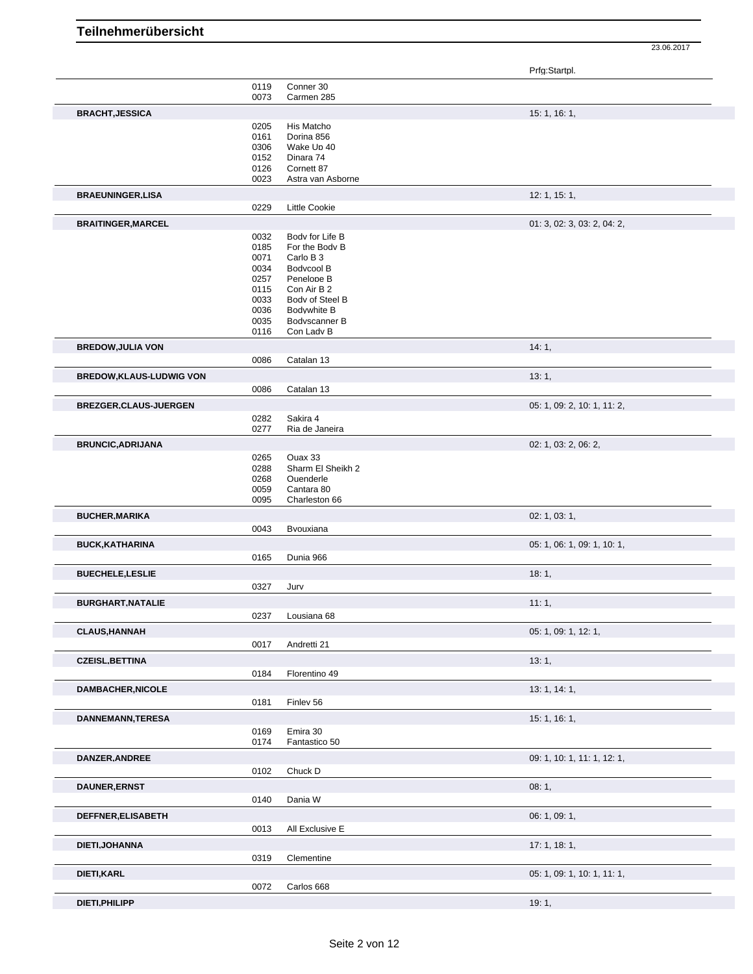|                                |      |                             | Prfg:Startpl.               |
|--------------------------------|------|-----------------------------|-----------------------------|
|                                | 0119 | Conner 30                   |                             |
|                                | 0073 | Carmen 285                  |                             |
| <b>BRACHT, JESSICA</b>         |      |                             | 15: 1, 16: 1,               |
|                                | 0205 | His Matcho                  |                             |
|                                | 0161 | Dorina 856                  |                             |
|                                | 0306 | Wake Up 40                  |                             |
|                                | 0152 | Dinara 74                   |                             |
|                                | 0126 | Cornett 87                  |                             |
|                                | 0023 | Astra van Asborne           |                             |
| <b>BRAEUNINGER,LISA</b>        |      |                             | 12: 1, 15: 1,               |
|                                | 0229 | Little Cookie               |                             |
| <b>BRAITINGER, MARCEL</b>      |      |                             | 01: 3, 02: 3, 03: 2, 04: 2, |
|                                | 0032 | Body for Life B             |                             |
|                                | 0185 | For the Body B              |                             |
|                                | 0071 | Carlo B 3                   |                             |
|                                | 0034 | Bodycool B                  |                             |
|                                | 0257 | Penelope B                  |                             |
|                                | 0115 | Con Air B 2                 |                             |
|                                | 0033 | Body of Steel B             |                             |
|                                | 0036 | <b>Bodvwhite B</b>          |                             |
|                                | 0035 | Bodvscanner B<br>Con Ladv B |                             |
|                                | 0116 |                             |                             |
| <b>BREDOW, JULIA VON</b>       |      |                             | 14:1,                       |
|                                | 0086 | Catalan 13                  |                             |
| <b>BREDOW,KLAUS-LUDWIG VON</b> |      |                             | 13:1,                       |
|                                | 0086 | Catalan 13                  |                             |
| BREZGER, CLAUS-JUERGEN         |      |                             | 05: 1, 09: 2, 10: 1, 11: 2, |
|                                | 0282 | Sakira 4                    |                             |
|                                | 0277 | Ria de Janeira              |                             |
| <b>BRUNCIC, ADRIJANA</b>       |      |                             | 02: 1, 03: 2, 06: 2,        |
|                                | 0265 | Quax 33                     |                             |
|                                | 0288 | Sharm El Sheikh 2           |                             |
|                                | 0268 | Quenderle                   |                             |
|                                | 0059 | Cantara 80                  |                             |
|                                | 0095 | Charleston 66               |                             |
| <b>BUCHER, MARIKA</b>          |      |                             | 02: 1, 03: 1,               |
|                                | 0043 | Bvouxiana                   |                             |
| <b>BUCK, KATHARINA</b>         |      |                             | 05: 1, 06: 1, 09: 1, 10: 1, |
|                                | 0165 | Dunia 966                   |                             |
|                                |      |                             |                             |
| <b>BUECHELE, LESLIE</b>        |      |                             | 18:1,                       |
|                                | 0327 | Jurv                        |                             |
| <b>BURGHART.NATALIE</b>        |      |                             | 11:1,                       |
|                                | 0237 | Lousiana 68                 |                             |
| <b>CLAUS, HANNAH</b>           |      |                             | 05: 1, 09: 1, 12: 1,        |
|                                | 0017 | Andretti 21                 |                             |
| <b>CZEISL, BETTINA</b>         |      |                             | 13:1,                       |
|                                | 0184 | Florentino 49               |                             |
|                                |      |                             |                             |
| <b>DAMBACHER, NICOLE</b>       |      |                             | 13: 1, 14: 1,               |
|                                | 0181 | Finlev 56                   |                             |
| <b>DANNEMANN,TERESA</b>        |      |                             | 15: 1, 16: 1,               |
|                                | 0169 | Emira 30                    |                             |
|                                | 0174 | Fantastico 50               |                             |
| DANZER, ANDREE                 |      |                             | 09: 1, 10: 1, 11: 1, 12: 1, |
|                                | 0102 | Chuck D                     |                             |
|                                |      |                             |                             |
| <b>DAUNER, ERNST</b>           |      |                             | 08:1,                       |
|                                | 0140 | Dania W                     |                             |
| DEFFNER, ELISABETH             |      |                             | 06: 1, 09: 1,               |
|                                | 0013 | All Exclusive E             |                             |
| DIETI, JOHANNA                 |      |                             | 17: 1, 18: 1,               |
|                                |      |                             |                             |
|                                | 0319 | Clementine                  |                             |
| DIETI, KARL                    |      |                             | 05: 1, 09: 1, 10: 1, 11: 1, |
|                                | 0072 | Carlos 668                  |                             |
|                                |      |                             | 19:1,                       |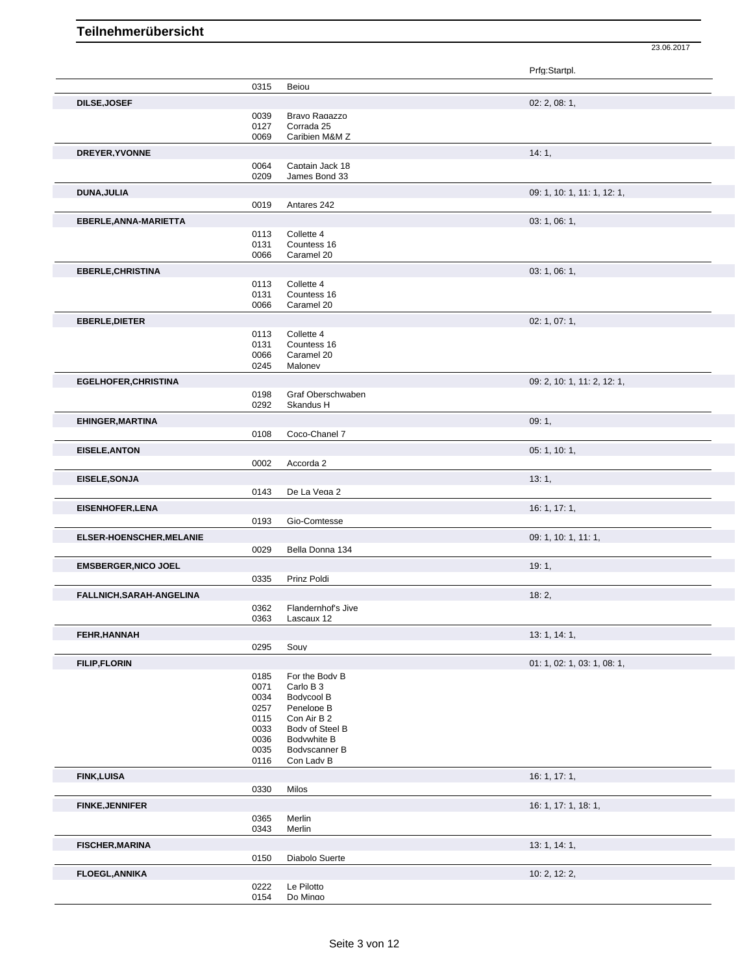|                             |              |                                       | Prfg:Startpl.               |
|-----------------------------|--------------|---------------------------------------|-----------------------------|
|                             | 0315         | Beiou                                 |                             |
|                             |              |                                       |                             |
| DILSE, JOSEF                |              |                                       | 02: 2, 08: 1,               |
|                             | 0039<br>0127 | Bravo Ragazzo<br>Corrada 25           |                             |
|                             | 0069         | Caribien M&M Z                        |                             |
|                             |              |                                       | 14:1,                       |
| DREYER, YVONNE              |              |                                       |                             |
|                             | 0064<br>0209 | Captain Jack 18<br>James Bond 33      |                             |
|                             |              |                                       |                             |
| DUNA, JULIA                 |              |                                       | 09: 1, 10: 1, 11: 1, 12: 1, |
|                             | 0019         | Antares 242                           |                             |
| EBERLE, ANNA-MARIETTA       |              |                                       | 03: 1, 06: 1,               |
|                             | 0113         | Collette 4                            |                             |
|                             | 0131<br>0066 | Countess 16<br>Caramel 20             |                             |
|                             |              |                                       |                             |
| <b>EBERLE, CHRISTINA</b>    |              |                                       | 03: 1, 06: 1,               |
|                             | 0113<br>0131 | Collette 4<br>Countess 16             |                             |
|                             | 0066         | Caramel 20                            |                             |
|                             |              |                                       |                             |
| <b>EBERLE, DIETER</b>       |              |                                       | 02: 1, 07: 1,               |
|                             | 0113<br>0131 | Collette 4<br>Countess 16             |                             |
|                             | 0066         | Caramel 20                            |                             |
|                             | 0245         | Malonev                               |                             |
| <b>EGELHOFER, CHRISTINA</b> |              |                                       | 09: 2, 10: 1, 11: 2, 12: 1, |
|                             | 0198         | Graf Oberschwaben                     |                             |
|                             | 0292         | Skandus H                             |                             |
| <b>EHINGER, MARTINA</b>     |              |                                       | 09:1,                       |
|                             | 0108         | Coco-Chanel 7                         |                             |
| <b>EISELE, ANTON</b>        |              |                                       | 05: 1, 10: 1,               |
|                             | 0002         | Accorda 2                             |                             |
|                             |              |                                       |                             |
| EISELE, SONJA               |              |                                       | 13:1,                       |
|                             | 0143         | De La Vega 2                          |                             |
| <b>EISENHOFER, LENA</b>     |              |                                       | 16:1, 17:1,                 |
|                             | 0193         | Gio-Comtesse                          |                             |
| ELSER-HOENSCHER, MELANIE    |              |                                       | 09: 1, 10: 1, 11: 1,        |
|                             | 0029         | Bella Donna 134                       |                             |
| <b>EMSBERGER, NICO JOEL</b> |              |                                       | 19:1,                       |
|                             | 0335         | Prinz Poldi                           |                             |
| FALLNICH, SARAH-ANGELINA    |              |                                       | 18:2,                       |
|                             | 0362         | Flandernhof's Jive                    |                             |
|                             | 0363         | Lascaux 12                            |                             |
| <b>FEHR, HANNAH</b>         |              |                                       | 13: 1, 14: 1,               |
|                             | 0295         | Souv                                  |                             |
| <b>FILIP, FLORIN</b>        |              |                                       | 01: 1, 02: 1, 03: 1, 08: 1, |
|                             | 0185         | For the Body B                        |                             |
|                             | 0071         | Carlo B 3                             |                             |
|                             | 0034         | Bodvcool B                            |                             |
|                             | 0257         | Penelope B                            |                             |
|                             | 0115         | Con Air B 2                           |                             |
|                             | 0033<br>0036 | Body of Steel B<br><b>Bodvwhite B</b> |                             |
|                             | 0035         | Bodvscanner B                         |                             |
|                             | 0116         | Con Ladv B                            |                             |
| <b>FINK, LUISA</b>          |              |                                       | 16: 1, 17: 1,               |
|                             | 0330         | Milos                                 |                             |
|                             |              |                                       | 16: 1, 17: 1, 18: 1,        |
| <b>FINKE, JENNIFER</b>      | 0365         | Merlin                                |                             |
|                             | 0343         | Merlin                                |                             |
|                             |              |                                       |                             |
| <b>FISCHER, MARINA</b>      | 0150         | Diabolo Suerte                        | 13: 1, 14: 1,               |
|                             |              |                                       |                             |
| <b>FLOEGL, ANNIKA</b>       |              |                                       | 10: 2, 12: 2,               |
|                             | 0222         | Le Pilotto                            |                             |
|                             | 0154         | Do Minao                              |                             |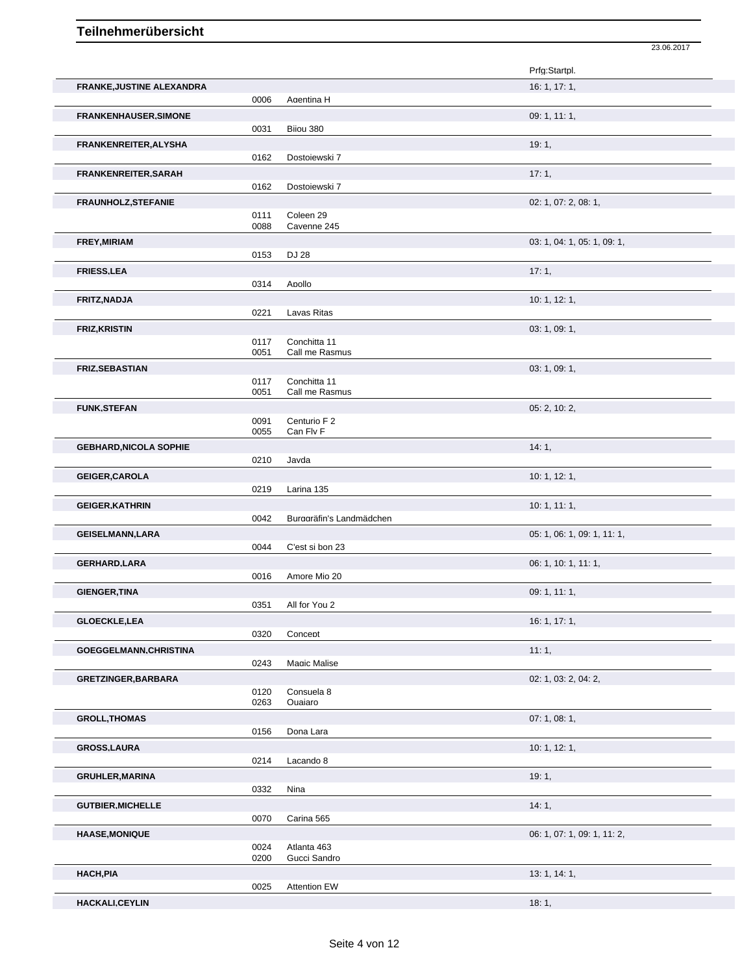|                                  |      |                          | 23.06.2017                  |
|----------------------------------|------|--------------------------|-----------------------------|
|                                  |      |                          | Prfg:Startpl.               |
| <b>FRANKE, JUSTINE ALEXANDRA</b> |      |                          | 16: 1, 17: 1,               |
|                                  | 0006 | Agentina H               |                             |
| <b>FRANKENHAUSER, SIMONE</b>     |      |                          | 09: 1, 11: 1,               |
|                                  | 0031 | Biiou 380                |                             |
| FRANKENREITER, ALYSHA            |      |                          | 19:1,                       |
|                                  | 0162 | Dostoiewski 7            |                             |
| <b>FRANKENREITER, SARAH</b>      |      |                          | 17:1,                       |
|                                  | 0162 | Dostoiewski 7            |                             |
| <b>FRAUNHOLZ, STEFANIE</b>       |      |                          | 02: 1, 07: 2, 08: 1,        |
|                                  | 0111 | Coleen 29                |                             |
|                                  | 0088 | Cavenne 245              |                             |
| <b>FREY, MIRIAM</b>              |      |                          | 03: 1, 04: 1, 05: 1, 09: 1, |
|                                  | 0153 | DJ 28                    |                             |
| <b>FRIESS,LEA</b>                |      |                          | 17:1,                       |
|                                  | 0314 | Apollo                   |                             |
| FRITZ, NADJA                     |      |                          | 10: 1, 12: 1,               |
|                                  | 0221 | Lavas Ritas              |                             |
| <b>FRIZ, KRISTIN</b>             |      |                          | 03: 1, 09: 1,               |
|                                  | 0117 | Conchitta 11             |                             |
|                                  | 0051 | Call me Rasmus           |                             |
| <b>FRIZ, SEBASTIAN</b>           |      |                          | 03: 1, 09: 1,               |
|                                  | 0117 | Conchitta 11             |                             |
|                                  | 0051 | Call me Rasmus           |                             |
| <b>FUNK, STEFAN</b>              |      |                          | 05: 2, 10: 2,               |
|                                  | 0091 | Centurio F 2             |                             |
|                                  | 0055 | Can Flv F                |                             |
| <b>GEBHARD, NICOLA SOPHIE</b>    |      |                          | 14:1,                       |
|                                  | 0210 | Javda                    |                             |
| <b>GEIGER,CAROLA</b>             |      |                          | 10: 1, 12: 1,               |
|                                  | 0219 | Larina 135               |                             |
| <b>GEIGER, KATHRIN</b>           |      |                          | 10:1, 11:1,                 |
|                                  | 0042 | Burggräfin's Landmädchen |                             |
| <b>GEISELMANN, LARA</b>          |      |                          | 05: 1, 06: 1, 09: 1, 11: 1, |
|                                  | 0044 | C'est si bon 23          |                             |
| GERHARD, LARA                    |      |                          | 06: 1, 10: 1, 11: 1,        |
|                                  | 0016 | Amore Mio 20             |                             |
| <b>GIENGER, TINA</b>             |      |                          | 09:1, 11:1,                 |
|                                  | 0351 | All for You 2            |                             |
| <b>GLOECKLE,LEA</b>              |      |                          | 16: 1, 17: 1,               |
|                                  | 0320 | Concept                  |                             |
| GOEGGELMANN, CHRISTINA           |      |                          | 11:1,                       |
|                                  | 0243 | Magic Malise             |                             |
| <b>GRETZINGER, BARBARA</b>       |      |                          | 02: 1, 03: 2, 04: 2,        |
|                                  | 0120 | Consuela 8               |                             |
|                                  | 0263 | Quaiaro                  |                             |
| <b>GROLL, THOMAS</b>             |      |                          | 07: 1, 08: 1,               |
|                                  | 0156 | Dona Lara                |                             |
| <b>GROSS,LAURA</b>               |      |                          | 10: 1, 12: 1,               |
|                                  | 0214 | Lacando 8                |                             |
| <b>GRUHLER, MARINA</b>           |      |                          | 19:1,                       |
|                                  | 0332 | Nina                     |                             |
| <b>GUTBIER, MICHELLE</b>         |      |                          | 14:1,                       |
|                                  | 0070 | Carina 565               |                             |
| <b>HAASE, MONIQUE</b>            |      |                          | 06: 1, 07: 1, 09: 1, 11: 2, |
|                                  | 0024 | Atlanta 463              |                             |
|                                  | 0200 | Gucci Sandro             |                             |
| <b>HACH,PIA</b>                  |      |                          | 13: 1, 14: 1,               |
|                                  | 0025 | <b>Attention EW</b>      |                             |
| <b>HACKALI,CEYLIN</b>            |      |                          | 18:1,                       |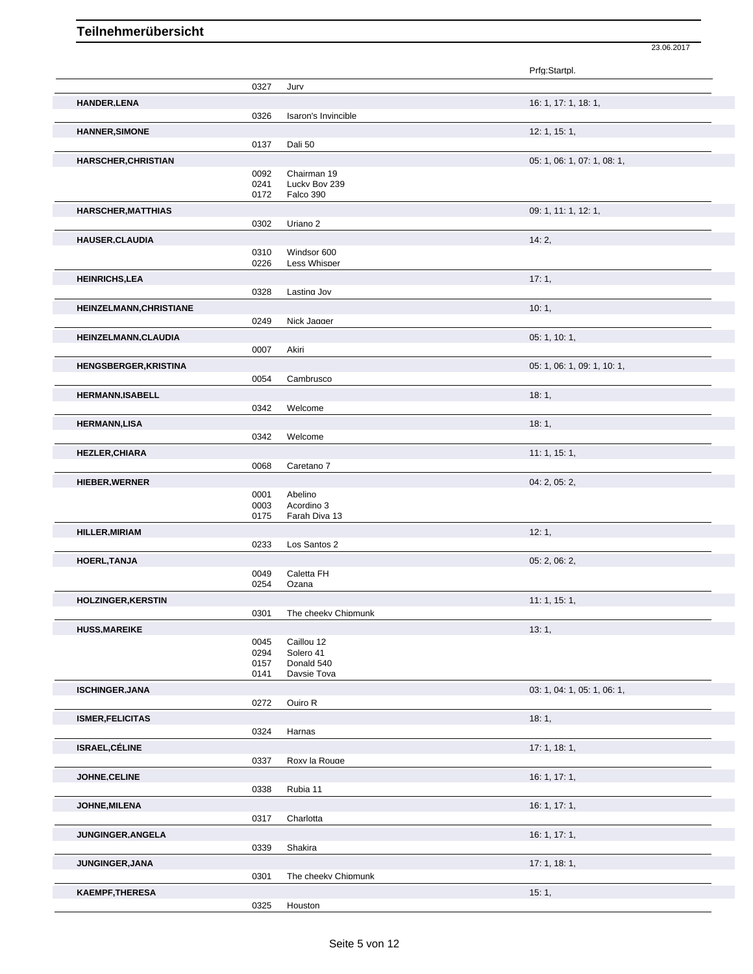|                                |              |                             | Prfg:Startpl.               |
|--------------------------------|--------------|-----------------------------|-----------------------------|
|                                | 0327         | Jurv                        |                             |
| <b>HANDER, LENA</b>            |              |                             | 16: 1, 17: 1, 18: 1,        |
|                                | 0326         | Isaron's Invincible         |                             |
|                                |              |                             |                             |
| <b>HANNER, SIMONE</b>          |              |                             | 12: 1, 15: 1,               |
|                                | 0137         | Dali 50                     |                             |
| <b>HARSCHER, CHRISTIAN</b>     |              |                             | 05: 1, 06: 1, 07: 1, 08: 1, |
|                                | 0092         | Chairman 19                 |                             |
|                                | 0241<br>0172 | Lucky Bov 239<br>Falco 390  |                             |
| <b>HARSCHER.MATTHIAS</b>       |              |                             |                             |
|                                | 0302         | Uriano 2                    | 09: 1, 11: 1, 12: 1,        |
|                                |              |                             |                             |
| <b>HAUSER, CLAUDIA</b>         |              |                             | 14:2,                       |
|                                | 0310<br>0226 | Windsor 600<br>Less Whisper |                             |
|                                |              |                             |                             |
| <b>HEINRICHS, LEA</b>          |              |                             | 17:1,                       |
|                                | 0328         | Lasting Jov                 |                             |
| <b>HEINZELMANN, CHRISTIANE</b> |              |                             | 10:1,                       |
|                                | 0249         | Nick Jagger                 |                             |
| HEINZELMANN, CLAUDIA           |              |                             | 05: 1, 10: 1,               |
|                                | 0007         | Akiri                       |                             |
| <b>HENGSBERGER, KRISTINA</b>   |              |                             | 05: 1, 06: 1, 09: 1, 10: 1, |
|                                | 0054         | Cambrusco                   |                             |
|                                |              |                             | 18:1,                       |
| <b>HERMANN, ISABELL</b>        | 0342         | Welcome                     |                             |
|                                |              |                             |                             |
| <b>HERMANN,LISA</b>            |              |                             | 18:1,                       |
|                                | 0342         | Welcome                     |                             |
| <b>HEZLER, CHIARA</b>          |              |                             | 11: 1, 15: 1,               |
|                                | 0068         | Caretano 7                  |                             |
| <b>HIEBER, WERNER</b>          |              |                             | 04: 2, 05: 2,               |
|                                | 0001         | Abelino                     |                             |
|                                | 0003         | Acordino 3                  |                             |
|                                | 0175         | Farah Diva 13               |                             |
| <b>HILLER, MIRIAM</b>          |              |                             | 12:1,                       |
|                                | 0233         | Los Santos 2                |                             |
| HOERL, TANJA                   |              |                             | 05: 2, 06: 2,               |
|                                | 0049         | Caletta FH                  |                             |
|                                | 0254         | Ozana                       |                             |
| <b>HOLZINGER, KERSTIN</b>      |              |                             | 11:1, 15:1,                 |
|                                | 0301         | The cheekv Chipmunk         |                             |
| <b>HUSS, MAREIKE</b>           |              |                             | 13:1,                       |
|                                | 0045         | Caillou 12                  |                             |
|                                | 0294         | Solero 41                   |                             |
|                                | 0157<br>0141 | Donald 540<br>Davsie Tova   |                             |
|                                |              |                             |                             |
| <b>ISCHINGER, JANA</b>         |              |                             | 03: 1, 04: 1, 05: 1, 06: 1, |
|                                | 0272         | Quiro R                     |                             |
| <b>ISMER, FELICITAS</b>        |              |                             | 18:1,                       |
|                                | 0324         | Harnas                      |                             |
| ISRAEL, CÉLINE                 |              |                             | 17:1, 18:1,                 |
|                                | 0337         | Roxv la Rouge               |                             |
| JOHNE, CELINE                  |              |                             | 16: 1, 17: 1,               |
|                                | 0338         | Rubia 11                    |                             |
| JOHNE, MILENA                  |              |                             | 16: 1, 17: 1,               |
|                                | 0317         | Charlotta                   |                             |
|                                |              |                             |                             |
| JUNGINGER, ANGELA              |              |                             | 16: 1, 17: 1,               |
|                                | 0339         | Shakira                     |                             |
| JUNGINGER, JANA                |              |                             | 17: 1, 18: 1,               |
|                                | 0301         | The cheekv Chipmunk         |                             |
|                                |              |                             | 15:1,                       |
| <b>KAEMPF, THERESA</b>         |              |                             |                             |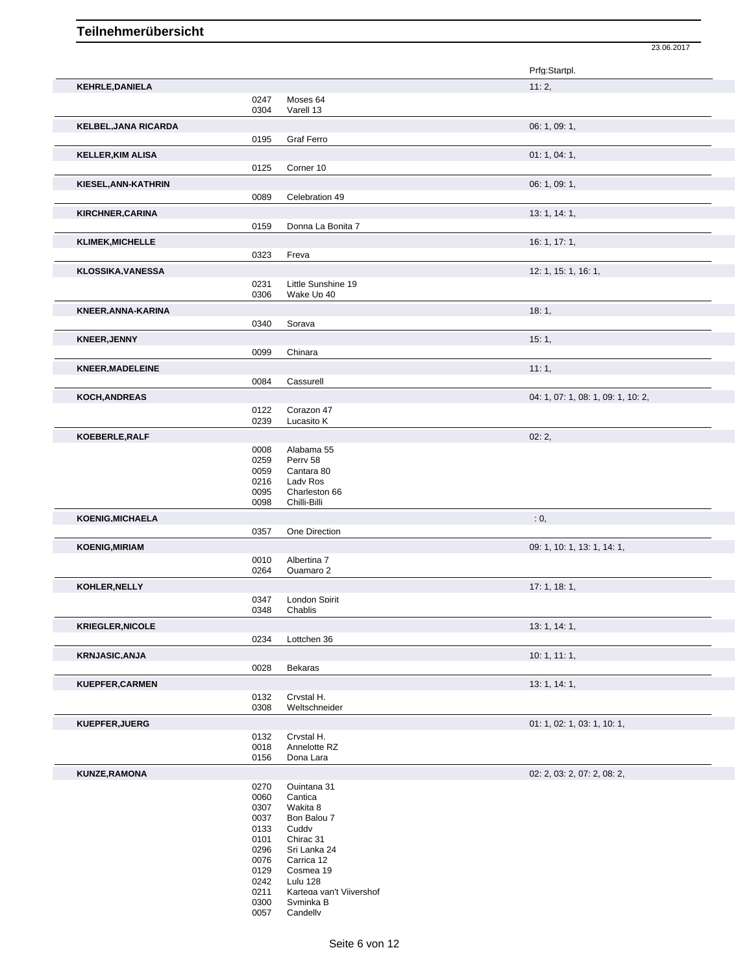|                             |              |                               | Prfg:Startpl.                      |
|-----------------------------|--------------|-------------------------------|------------------------------------|
| <b>KEHRLE, DANIELA</b>      |              |                               | 11:2,                              |
|                             | 0247         | Moses 64                      |                                    |
|                             | 0304         | Varell 13                     |                                    |
| <b>KELBEL, JANA RICARDA</b> |              |                               | 06: 1, 09: 1,                      |
|                             | 0195         | Graf Ferro                    |                                    |
| <b>KELLER, KIM ALISA</b>    |              |                               | 01: 1, 04: 1,                      |
|                             | 0125         | Corner 10                     |                                    |
| KIESEL, ANN-KATHRIN         |              |                               | 06: 1, 09: 1,                      |
|                             | 0089         | Celebration 49                |                                    |
|                             |              |                               |                                    |
| <b>KIRCHNER, CARINA</b>     |              |                               | 13: 1, 14: 1,                      |
|                             | 0159         | Donna La Bonita 7             |                                    |
| <b>KLIMEK, MICHELLE</b>     |              |                               | 16: 1, 17: 1,                      |
|                             | 0323         | Freva                         |                                    |
| <b>KLOSSIKA, VANESSA</b>    |              |                               | 12: 1, 15: 1, 16: 1,               |
|                             | 0231         | Little Sunshine 19            |                                    |
|                             | 0306         | Wake Up 40                    |                                    |
| KNEER, ANNA-KARINA          |              |                               | 18:1,                              |
|                             | 0340         | Sorava                        |                                    |
| <b>KNEER, JENNY</b>         |              |                               | 15:1,                              |
|                             | 0099         | Chinara                       |                                    |
| <b>KNEER, MADELEINE</b>     |              |                               | 11:1,                              |
|                             | 0084         | Cassurell                     |                                    |
|                             |              |                               |                                    |
| <b>KOCH, ANDREAS</b>        | 0122         | Corazon 47                    | 04: 1, 07: 1, 08: 1, 09: 1, 10: 2, |
|                             | 0239         | Lucasito K                    |                                    |
| KOEBERLE, RALF              |              |                               | 02:2,                              |
|                             | 0008         | Alabama 55                    |                                    |
|                             | 0259         | Perry 58                      |                                    |
|                             | 0059         | Cantara 80                    |                                    |
|                             | 0216         | Lady Ros                      |                                    |
|                             | 0095<br>0098 | Charleston 66<br>Chilli-Billi |                                    |
|                             |              |                               |                                    |
| <b>KOENIG, MICHAELA</b>     |              |                               | : 0,                               |
|                             | 0357         | One Direction                 |                                    |
| <b>KOENIG, MIRIAM</b>       |              |                               | 09: 1, 10: 1, 13: 1, 14: 1,        |
|                             | 0010         | Albertina 7                   |                                    |
|                             | 0264         | Quamaro 2                     |                                    |
| KOHLER, NELLY               |              |                               | 17: 1, 18: 1,                      |
|                             | 0347         | <b>London Spirit</b>          |                                    |
|                             | 0348         | Chablis                       |                                    |
| <b>KRIEGLER, NICOLE</b>     |              |                               | 13: 1, 14: 1,                      |
|                             | 0234         | Lottchen 36                   |                                    |
| <b>KRNJASIC, ANJA</b>       |              |                               | 10: 1, 11: 1,                      |
|                             | 0028         | Bekaras                       |                                    |
| <b>KUEPFER, CARMEN</b>      |              |                               | 13: 1, 14: 1,                      |
|                             | 0132         | Crvstal H.                    |                                    |
|                             | 0308         | Weltschneider                 |                                    |
| KUEPFER, JUERG              |              |                               | 01: 1, 02: 1, 03: 1, 10: 1,        |
|                             | 0132         | Crvstal H.                    |                                    |
|                             | 0018         | Annelotte RZ                  |                                    |
|                             | 0156         | Dona Lara                     |                                    |
| <b>KUNZE, RAMONA</b>        |              |                               | 02: 2, 03: 2, 07: 2, 08: 2,        |
|                             | 0270         | Quintana 31                   |                                    |
|                             | 0060         | Cantica                       |                                    |
|                             | 0307<br>0037 | Wakita 8<br>Bon Balou 7       |                                    |
|                             | 0133         | Cuddv                         |                                    |
|                             | 0101         | Chirac 31                     |                                    |
|                             | 0296         | Sri Lanka 24                  |                                    |

23.06.2017

Carrica 12

 Syminka B Candelly

0129 Cosmea 19<br>0242 Lulu 128<br>0211 Kartega van Lulu 128 0211 Kartega van't Viivershof<br>0300 Svminka B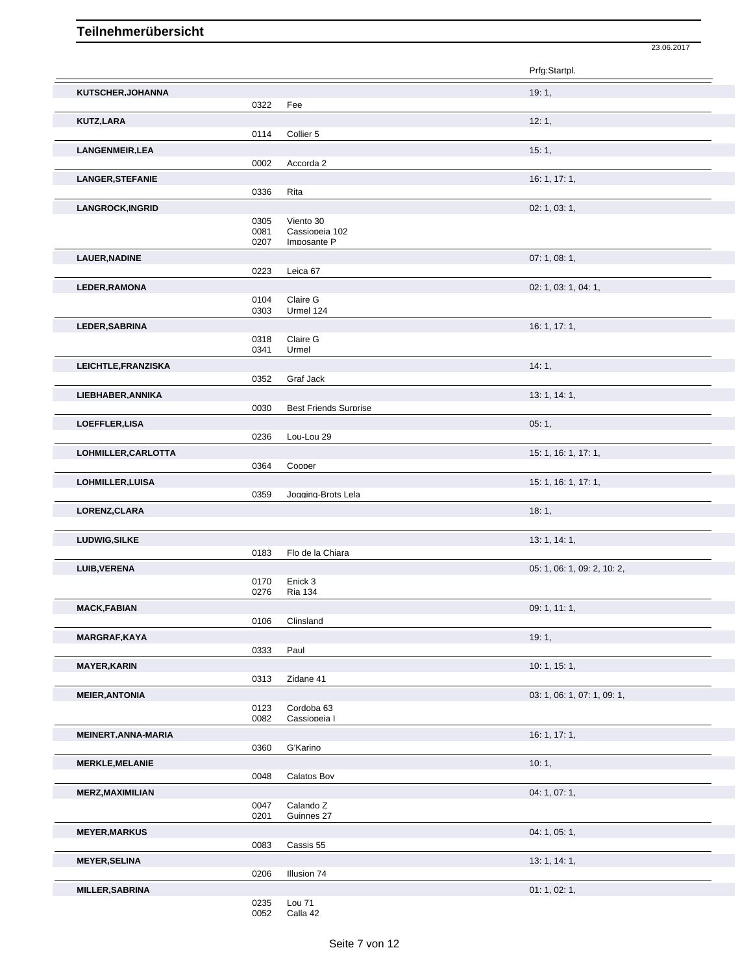|                         |              |                              | 23.06.2017                  |
|-------------------------|--------------|------------------------------|-----------------------------|
|                         |              |                              | Prfg:Startpl.               |
| KUTSCHER, JOHANNA       |              |                              | 19:1,                       |
|                         | 0322         | Fee                          |                             |
| <b>KUTZ,LARA</b>        |              |                              | 12:1,                       |
|                         | 0114         | Collier 5                    |                             |
| <b>LANGENMEIR, LEA</b>  |              |                              | 15:1,                       |
|                         | 0002         | Accorda 2                    |                             |
| <b>LANGER, STEFANIE</b> |              |                              | 16: 1, 17: 1,               |
|                         | 0336         | Rita                         |                             |
| <b>LANGROCK, INGRID</b> |              |                              | 02: 1, 03: 1,               |
|                         | 0305         | Viento 30                    |                             |
|                         | 0081         | Cassiopeia 102               |                             |
|                         | 0207         | Imposante P                  |                             |
| <b>LAUER, NADINE</b>    |              |                              | 07: 1, 08: 1,               |
|                         | 0223         | Leica 67                     |                             |
| LEDER, RAMONA           |              |                              | 02: 1, 03: 1, 04: 1,        |
|                         | 0104         | Claire G                     |                             |
|                         | 0303         | Urmel 124                    |                             |
| LEDER, SABRINA          |              |                              | 16: 1, 17: 1,               |
|                         | 0318         | Claire G                     |                             |
|                         | 0341         | Urmel                        |                             |
| LEICHTLE, FRANZISKA     |              |                              | 14:1,                       |
|                         | 0352         | Graf Jack                    |                             |
| LIEBHABER, ANNIKA       |              |                              | 13: 1, 14: 1,               |
|                         | 0030         | <b>Best Friends Surprise</b> |                             |
|                         |              |                              |                             |
| LOEFFLER,LISA           | 0236         | Lou-Lou 29                   | 05:1,                       |
|                         |              |                              |                             |
| LOHMILLER, CARLOTTA     |              |                              | 15: 1, 16: 1, 17: 1,        |
|                         | 0364         | Cooper                       |                             |
| <b>LOHMILLER, LUISA</b> |              |                              | 15: 1, 16: 1, 17: 1,        |
|                         | 0359         | Jogging-Brots Lela           |                             |
| LORENZ, CLARA           |              |                              | 18:1,                       |
|                         |              |                              |                             |
| LUDWIG, SILKE           |              |                              | 13: 1, 14: 1,               |
|                         | 0183         | Flo de la Chiara             |                             |
| <b>LUIB, VERENA</b>     |              |                              | 05: 1, 06: 1, 09: 2, 10: 2, |
|                         | 0170         | Enick <sub>3</sub>           |                             |
|                         | 0276         | <b>Ria 134</b>               |                             |
| <b>MACK,FABIAN</b>      |              |                              | 09: 1, 11: 1,               |
|                         | 0106         | Clinsland                    |                             |
| <b>MARGRAF,KAYA</b>     |              |                              | 19:1,                       |
|                         | 0333         | Paul                         |                             |
| <b>MAYER, KARIN</b>     |              |                              | 10: 1, 15: 1,               |
|                         | 0313         | Zidane 41                    |                             |
|                         |              |                              |                             |
| <b>MEIER, ANTONIA</b>   |              |                              | 03: 1, 06: 1, 07: 1, 09: 1, |
|                         | 0123<br>0082 | Cordoba 63<br>Cassiopeia I   |                             |
|                         |              |                              |                             |
| MEINERT, ANNA-MARIA     |              |                              | 16: 1, 17: 1,               |
|                         | 0360         | G'Karino                     |                             |
| <b>MERKLE, MELANIE</b>  |              |                              | 10:1,                       |
|                         | 0048         | Calatos Bov                  |                             |
| <b>MERZ, MAXIMILIAN</b> |              |                              | 04: 1, 07: 1,               |
|                         | 0047         | Calando Z                    |                             |
|                         | 0201         | Guinnes 27                   |                             |
| <b>MEYER, MARKUS</b>    |              |                              | 04: 1, 05: 1,               |
|                         | 0083         | Cassis 55                    |                             |
| <b>MEYER, SELINA</b>    |              |                              | 13: 1, 14: 1,               |
|                         | 0206         | Illusion 74                  |                             |
| <b>MILLER, SABRINA</b>  |              |                              | 01: 1, 02: 1,               |
|                         |              | 0235 Lou 71                  |                             |
|                         |              |                              |                             |

0052 Calla 42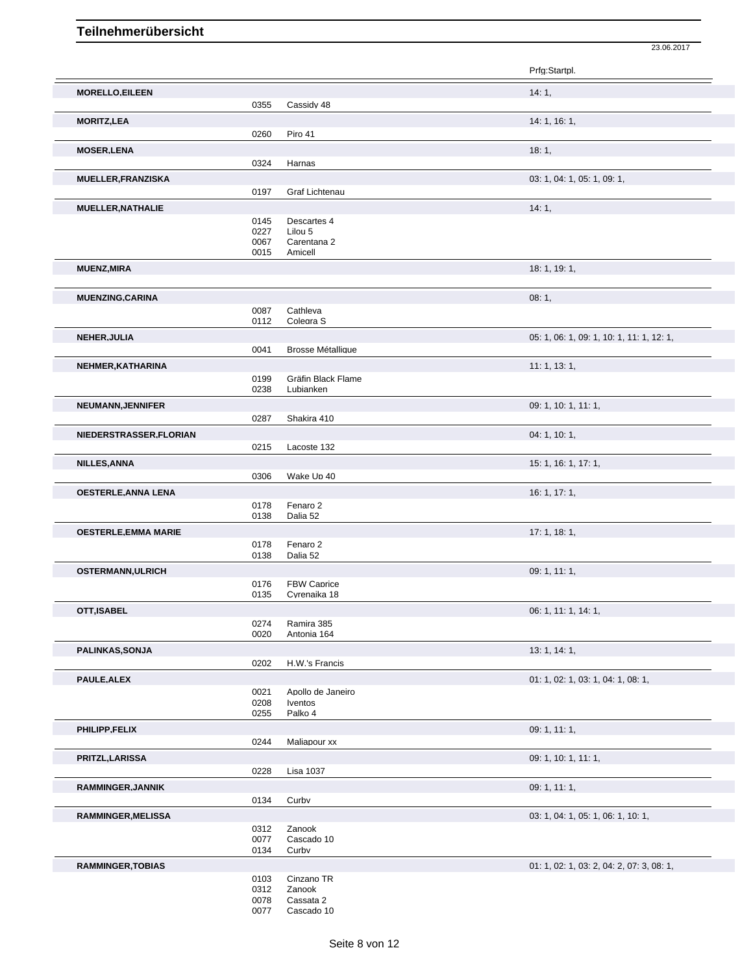|                             |              |                      | Prfg:Startpl.                             |
|-----------------------------|--------------|----------------------|-------------------------------------------|
| <b>MORELLO, EILEEN</b>      |              |                      | 14:1,                                     |
|                             | 0355         | Cassidy 48           |                                           |
| <b>MORITZ,LEA</b>           |              |                      | 14:1, 16:1,                               |
|                             | 0260         | Piro 41              |                                           |
| <b>MOSER,LENA</b>           |              |                      | 18:1,                                     |
|                             | 0324         | Harnas               |                                           |
| <b>MUELLER, FRANZISKA</b>   |              |                      | 03: 1, 04: 1, 05: 1, 09: 1,               |
|                             | 0197         | Graf Lichtenau       |                                           |
|                             |              |                      | 14:1,                                     |
| <b>MUELLER, NATHALIE</b>    | 0145         | Descartes 4          |                                           |
|                             | 0227         | Lilou 5              |                                           |
|                             | 0067         | Carentana 2          |                                           |
|                             | 0015         | Amicell              |                                           |
| <b>MUENZ, MIRA</b>          |              |                      | 18:1, 19:1,                               |
|                             |              |                      |                                           |
| <b>MUENZING, CARINA</b>     |              |                      | 08:1,                                     |
|                             | 0087         | Cathleva             |                                           |
|                             | 0112         | Colegra S            |                                           |
| NEHER, JULIA                |              |                      | 05: 1, 06: 1, 09: 1, 10: 1, 11: 1, 12: 1, |
|                             | 0041         | Brosse Métallique    |                                           |
| NEHMER, KATHARINA           |              |                      | 11: 1, 13: 1,                             |
|                             | 0199         | Gräfin Black Flame   |                                           |
|                             | 0238         | Lubianken            |                                           |
| NEUMANN, JENNIFER           |              |                      | 09: 1, 10: 1, 11: 1,                      |
|                             | 0287         | Shakira 410          |                                           |
| NIEDERSTRASSER, FLORIAN     |              |                      | 04:1, 10:1,                               |
|                             | 0215         | Lacoste 132          |                                           |
| NILLES, ANNA                |              |                      | 15: 1, 16: 1, 17: 1,                      |
|                             | 0306         | Wake Up 40           |                                           |
|                             |              |                      |                                           |
| <b>OESTERLE, ANNA LENA</b>  |              |                      | 16: 1, 17: 1,                             |
|                             | 0178<br>0138 | Fenaro 2<br>Dalia 52 |                                           |
|                             |              |                      |                                           |
| <b>OESTERLE, EMMA MARIE</b> | 0178         | Fenaro 2             | 17:1, 18:1,                               |
|                             | 0138         | Dalia 52             |                                           |
| <b>OSTERMANN, ULRICH</b>    |              |                      | 09: 1, 11: 1,                             |
|                             | 0176         | FBW Caprice          |                                           |
|                             | 0135         | Cvrenaika 18         |                                           |
| OTT, ISABEL                 |              |                      | 06: 1, 11: 1, 14: 1,                      |
|                             | 0274         | Ramira 385           |                                           |
|                             | 0020         | Antonia 164          |                                           |
| PALINKAS, SONJA             |              |                      | 13:1, 14:1,                               |
|                             | 0202         | H.W.'s Francis       |                                           |
|                             |              |                      |                                           |
| PAULE, ALEX                 |              | Apollo de Janeiro    | 01: 1, 02: 1, 03: 1, 04: 1, 08: 1,        |
|                             | 0021<br>0208 | <b>Iventos</b>       |                                           |
|                             | 0255         | Palko 4              |                                           |
| PHILIPP,FELIX               |              |                      | 09:1, 11:1,                               |
|                             | 0244         | Maliapour xx         |                                           |
| PRITZL,LARISSA              |              |                      | 09: 1, 10: 1, 11: 1,                      |
|                             | 0228         | Lisa 1037            |                                           |
|                             |              |                      |                                           |
| RAMMINGER, JANNIK           |              |                      | 09: 1, 11: 1,                             |
|                             | 0134         | Curbv                |                                           |
| <b>RAMMINGER, MELISSA</b>   |              |                      | 03: 1, 04: 1, 05: 1, 06: 1, 10: 1,        |
|                             | 0312         | Zanook               |                                           |
|                             | 0077<br>0134 | Cascado 10<br>Curby  |                                           |
|                             |              |                      |                                           |
| <b>RAMMINGER,TOBIAS</b>     |              |                      | 01: 1, 02: 1, 03: 2, 04: 2, 07: 3, 08: 1, |
|                             | 0103<br>0312 | Cinzano TR<br>Zanook |                                           |
|                             | 0078         | Cassata 2            |                                           |
|                             | 0077         | Cascado 10           |                                           |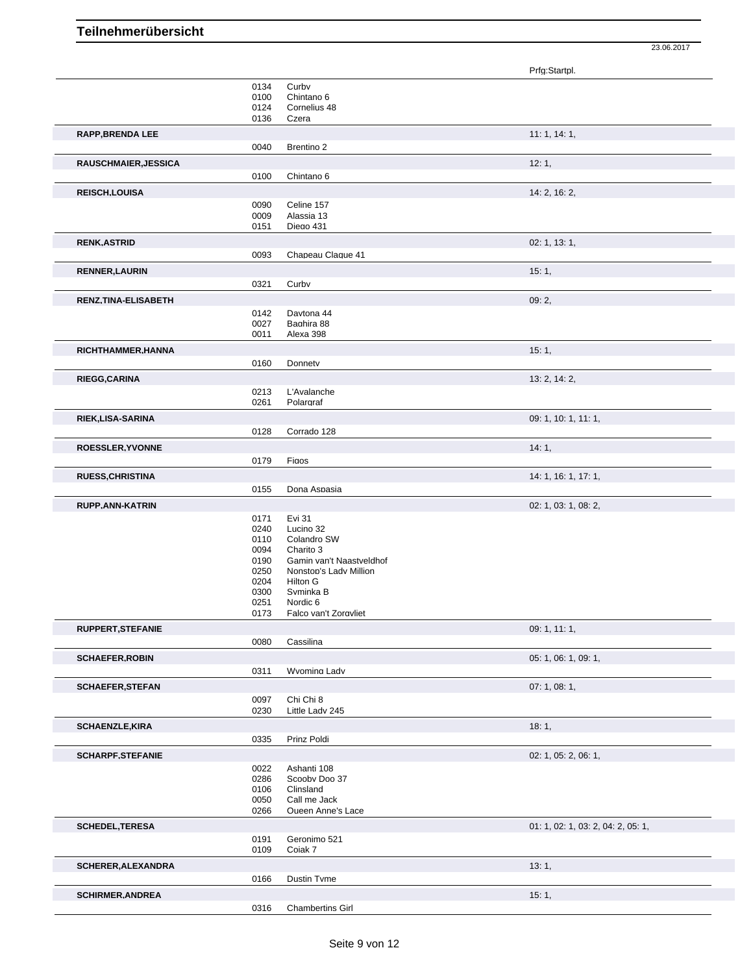|                           |              |                          | Prfg:Startpl.                      |
|---------------------------|--------------|--------------------------|------------------------------------|
|                           | 0134         | Curbv                    |                                    |
|                           | 0100         | Chintano 6               |                                    |
|                           | 0124         | Cornelius 48             |                                    |
|                           | 0136         | Czera                    |                                    |
| <b>RAPP, BRENDA LEE</b>   |              |                          | 11:1, 14:1,                        |
|                           |              |                          |                                    |
|                           | 0040         | Brentino 2               |                                    |
| RAUSCHMAIER, JESSICA      |              |                          | 12:1,                              |
|                           | 0100         | Chintano 6               |                                    |
| <b>REISCH,LOUISA</b>      |              |                          | 14: 2, 16: 2,                      |
|                           |              |                          |                                    |
|                           | 0090         | Celine 157               |                                    |
|                           | 0009         | Alassia 13               |                                    |
|                           | 0151         | Diego 431                |                                    |
| <b>RENK, ASTRID</b>       |              |                          | 02: 1, 13: 1,                      |
|                           | 0093         | Chapeau Claque 41        |                                    |
|                           |              |                          |                                    |
| <b>RENNER, LAURIN</b>     |              |                          | 15:1,                              |
|                           | 0321         | Curbv                    |                                    |
| RENZ, TINA-ELISABETH      |              |                          | 09:2,                              |
|                           | 0142         | Davtona 44               |                                    |
|                           | 0027         | Baghira 88               |                                    |
|                           | 0011         | Alexa 398                |                                    |
|                           |              |                          |                                    |
| RICHTHAMMER, HANNA        |              |                          | 15:1,                              |
|                           | 0160         | Donnetv                  |                                    |
| RIEGG, CARINA             |              |                          | 13: 2, 14: 2,                      |
|                           |              |                          |                                    |
|                           | 0213<br>0261 | L'Avalanche<br>Polaroraf |                                    |
|                           |              |                          |                                    |
| RIEK, LISA-SARINA         |              |                          | 09: 1, 10: 1, 11: 1,               |
|                           | 0128         | Corrado 128              |                                    |
|                           |              |                          |                                    |
| ROESSLER, YVONNE          |              |                          | 14:1,                              |
|                           | 0179         | Figos                    |                                    |
| <b>RUESS, CHRISTINA</b>   |              |                          | 14: 1, 16: 1, 17: 1,               |
|                           | 0155         | Dona Aspasia             |                                    |
|                           |              |                          |                                    |
| RUPP, ANN-KATRIN          |              |                          | 02: 1, 03: 1, 08: 2,               |
|                           | 0171         | Evi 31                   |                                    |
|                           | 0240         | Lucino 32                |                                    |
|                           | 0110         | Colandro SW              |                                    |
|                           | 0094         | Charito 3                |                                    |
|                           | 0190         | Gamin van't Naastveldhof |                                    |
|                           | 0250         | Nonstop's Lady Million   |                                    |
|                           | 0204         | Hilton G                 |                                    |
|                           | 0300         | Svminka B                |                                    |
|                           | 0251         | Nordic <sub>6</sub>      |                                    |
|                           | 0173         | Falco van't Zorgvliet    |                                    |
| RUPPERT, STEFANIE         |              |                          | 09: 1, 11: 1,                      |
|                           | 0080         | Cassilina                |                                    |
|                           |              |                          |                                    |
| <b>SCHAEFER, ROBIN</b>    |              |                          | 05: 1, 06: 1, 09: 1,               |
|                           | 0311         | Wvomina Ladv             |                                    |
| <b>SCHAEFER, STEFAN</b>   |              |                          | 07: 1, 08: 1,                      |
|                           |              | Chi Chi 8                |                                    |
|                           | 0097         |                          |                                    |
|                           | 0230         | Little Ladv 245          |                                    |
| <b>SCHAENZLE, KIRA</b>    |              |                          | 18:1,                              |
|                           | 0335         | Prinz Poldi              |                                    |
|                           |              |                          |                                    |
| <b>SCHARPF, STEFANIE</b>  |              |                          | 02: 1, 05: 2, 06: 1,               |
|                           | 0022         | Ashanti 108              |                                    |
|                           | 0286         | Scooby Doo 37            |                                    |
|                           | 0106         | Clinsland                |                                    |
|                           | 0050         | Call me Jack             |                                    |
|                           | 0266         | Queen Anne's Lace        |                                    |
| <b>SCHEDEL, TERESA</b>    |              |                          | 01: 1, 02: 1, 03: 2, 04: 2, 05: 1, |
|                           | 0191         | Geronimo 521             |                                    |
|                           | 0109         | Coiak 7                  |                                    |
|                           |              |                          |                                    |
| <b>SCHERER, ALEXANDRA</b> |              |                          | 13:1,                              |
|                           | 0166         | Dustin Tvme              |                                    |
|                           |              |                          |                                    |
| <b>SCHIRMER, ANDREA</b>   |              |                          | 15:1,                              |
|                           | 0316         | <b>Chambertins Girl</b>  |                                    |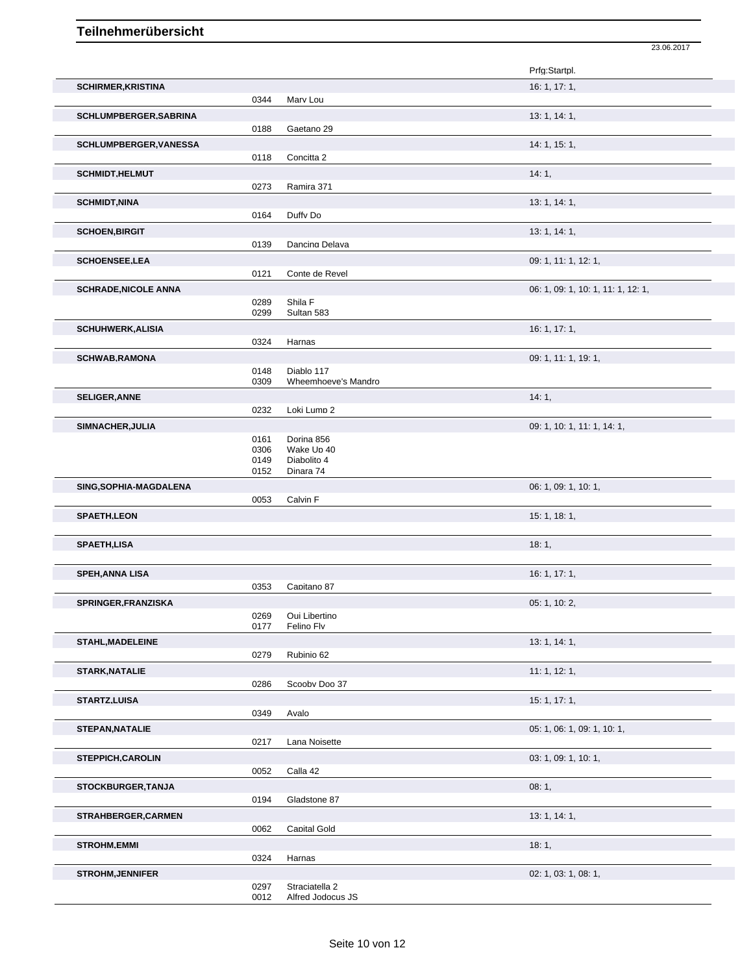|                             |              |                          | 23.06.2017                         |
|-----------------------------|--------------|--------------------------|------------------------------------|
|                             |              |                          | Prfg:Startpl.                      |
| <b>SCHIRMER, KRISTINA</b>   |              |                          | 16: 1, 17: 1,                      |
|                             | 0344         | Marv Lou                 |                                    |
|                             |              |                          | 13: 1, 14: 1,                      |
| SCHLUMPBERGER, SABRINA      |              |                          |                                    |
|                             | 0188         | Gaetano 29               |                                    |
| SCHLUMPBERGER, VANESSA      |              |                          | 14:1, 15:1,                        |
|                             | 0118         | Concitta 2               |                                    |
| <b>SCHMIDT, HELMUT</b>      |              |                          | 14:1,                              |
|                             | 0273         | Ramira 371               |                                    |
| <b>SCHMIDT, NINA</b>        |              |                          | 13:1, 14:1,                        |
|                             | 0164         | Duffy Do                 |                                    |
|                             |              |                          |                                    |
| <b>SCHOEN, BIRGIT</b>       | 0139         | Dancing Delava           | 13:1, 14:1,                        |
|                             |              |                          |                                    |
| <b>SCHOENSEE,LEA</b>        |              |                          | 09: 1, 11: 1, 12: 1,               |
|                             | 0121         | Conte de Revel           |                                    |
| <b>SCHRADE, NICOLE ANNA</b> |              |                          | 06: 1, 09: 1, 10: 1, 11: 1, 12: 1, |
|                             | 0289         | Shila F                  |                                    |
|                             | 0299         | Sultan 583               |                                    |
| <b>SCHUHWERK, ALISIA</b>    |              |                          | 16: 1, 17: 1,                      |
|                             | 0324         | Harnas                   |                                    |
| <b>SCHWAB, RAMONA</b>       |              |                          | 09: 1, 11: 1, 19: 1,               |
|                             | 0148         | Diablo 117               |                                    |
|                             | 0309         | Wheemhoeve's Mandro      |                                    |
|                             |              |                          |                                    |
| <b>SELIGER, ANNE</b>        |              |                          | 14:1,                              |
|                             | 0232         | Loki Lump 2              |                                    |
| SIMNACHER, JULIA            |              |                          | 09: 1, 10: 1, 11: 1, 14: 1,        |
|                             | 0161         | Dorina 856               |                                    |
|                             | 0306         | Wake Up 40               |                                    |
|                             | 0149<br>0152 | Diabolito 4<br>Dinara 74 |                                    |
|                             |              |                          |                                    |
| SING, SOPHIA-MAGDALENA      |              |                          | 06: 1, 09: 1, 10: 1,               |
|                             | 0053         | Calvin F                 |                                    |
| <b>SPAETH,LEON</b>          |              |                          | 15:1, 18:1,                        |
|                             |              |                          |                                    |
| <b>SPAETH,LISA</b>          |              |                          | 18:1,                              |
|                             |              |                          |                                    |
| <b>SPEH, ANNA LISA</b>      |              |                          | 16: 1, 17: 1,                      |
|                             | 0353         | Capitano 87              |                                    |
|                             |              |                          |                                    |
| SPRINGER, FRANZISKA         |              |                          | 05: 1, 10: 2,                      |
|                             | 0269         | Qui Libertino            |                                    |
|                             | 0177         | Felino Flv               |                                    |
| <b>STAHL, MADELEINE</b>     |              |                          | 13:1, 14:1,                        |
|                             | 0279         | Rubinio 62               |                                    |
| STARK, NATALIE              |              |                          | 11: 1, 12: 1,                      |
|                             | 0286         | Scooby Doo 37            |                                    |
| STARTZ, LUISA               |              |                          | 15:1, 17:1,                        |
|                             |              | Avalo                    |                                    |
|                             | 0349         |                          |                                    |
| STEPAN, NATALIE             |              |                          | 05: 1, 06: 1, 09: 1, 10: 1,        |
|                             | 0217         | Lana Noisette            |                                    |
| <b>STEPPICH,CAROLIN</b>     |              |                          | 03: 1, 09: 1, 10: 1,               |
|                             | 0052         | Calla 42                 |                                    |
| STOCKBURGER, TANJA          |              |                          | 08:1,                              |
|                             | 0194         | Gladstone 87             |                                    |
|                             |              |                          |                                    |
| <b>STRAHBERGER, CARMEN</b>  |              |                          | 13:1, 14:1,                        |
|                             | 0062         | Capital Gold             |                                    |
| <b>STROHM, EMMI</b>         |              |                          | 18:1,                              |
|                             | 0324         | Harnas                   |                                    |
| <b>STROHM, JENNIFER</b>     |              |                          |                                    |
|                             |              |                          |                                    |
|                             | 0297         | Straciatella 2           | 02: 1, 03: 1, 08: 1,               |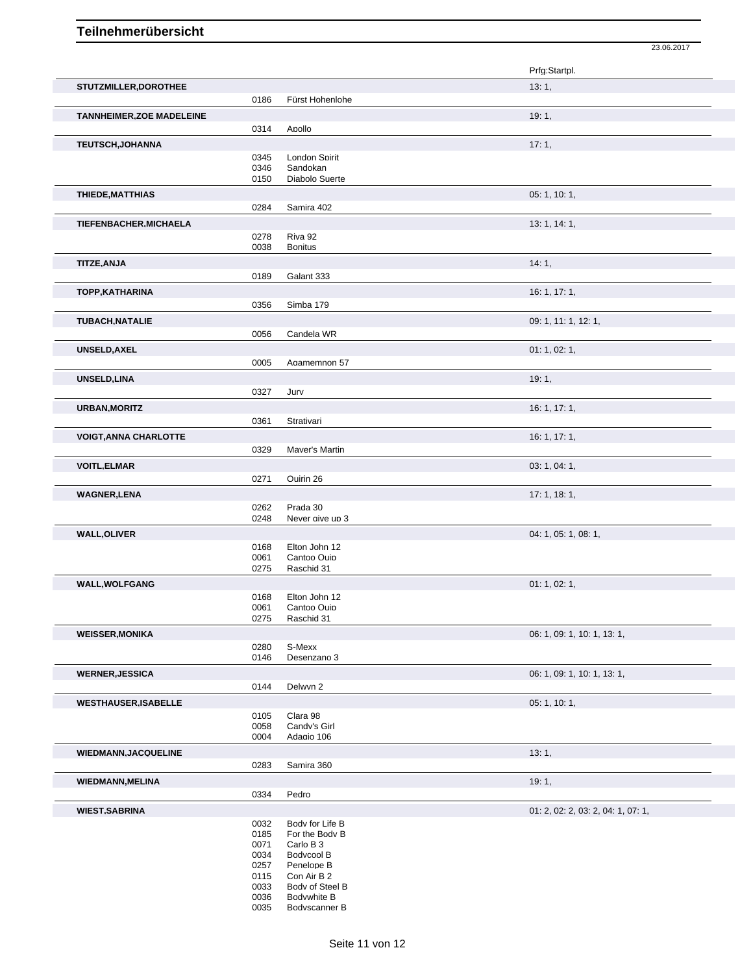|                                  |              |                                | 23.06.2017                         |
|----------------------------------|--------------|--------------------------------|------------------------------------|
|                                  |              |                                | Prfg:Startpl.                      |
|                                  |              |                                |                                    |
| <b>STUTZMILLER, DOROTHEE</b>     |              |                                | 13:1,                              |
|                                  | 0186         | Fürst Hohenlohe                |                                    |
| <b>TANNHEIMER, ZOE MADELEINE</b> |              |                                | 19:1,                              |
|                                  | 0314         | Apollo                         |                                    |
| <b>TEUTSCH, JOHANNA</b>          |              |                                | 17:1,                              |
|                                  | 0345         | London Spirit                  |                                    |
|                                  | 0346         | Sandokan                       |                                    |
|                                  | 0150         | Diabolo Suerte                 |                                    |
| THIEDE, MATTHIAS                 |              |                                | 05: 1, 10: 1,                      |
|                                  | 0284         | Samira 402                     |                                    |
| TIEFENBACHER, MICHAELA           |              |                                | 13: 1, 14: 1,                      |
|                                  | 0278         | Riva 92                        |                                    |
|                                  | 0038         | <b>Bonitus</b>                 |                                    |
| <b>TITZE, ANJA</b>               |              |                                | 14:1,                              |
|                                  | 0189         | Galant 333                     |                                    |
|                                  |              |                                |                                    |
| <b>TOPP, KATHARINA</b>           |              |                                | 16: 1, 17: 1,                      |
|                                  | 0356         | Simba 179                      |                                    |
| <b>TUBACH, NATALIE</b>           |              |                                | 09: 1, 11: 1, 12: 1,               |
|                                  | 0056         | Candela WR                     |                                    |
| <b>UNSELD, AXEL</b>              |              |                                | 01: 1, 02: 1,                      |
|                                  | 0005         | Agamemnon 57                   |                                    |
|                                  |              |                                |                                    |
| <b>UNSELD, LINA</b>              |              |                                | 19:1,                              |
|                                  | 0327         | Jurv                           |                                    |
| <b>URBAN, MORITZ</b>             |              |                                | 16: 1, 17: 1,                      |
|                                  | 0361         | Strativari                     |                                    |
| <b>VOIGT, ANNA CHARLOTTE</b>     |              |                                | 16: 1, 17: 1,                      |
|                                  | 0329         | Maver's Martin                 |                                    |
| <b>VOITL, ELMAR</b>              |              |                                | 03: 1, 04: 1,                      |
|                                  | 0271         | Quirin 26                      |                                    |
|                                  |              |                                |                                    |
| <b>WAGNER,LENA</b>               |              |                                | 17: 1, 18: 1,                      |
|                                  | 0262<br>0248 | Prada 30<br>Never aive up 3    |                                    |
|                                  |              |                                |                                    |
| <b>WALL, OLIVER</b>              |              |                                | 04: 1, 05: 1, 08: 1,               |
|                                  | 0168<br>0061 | Elton John 12<br>Cantoo Quip   |                                    |
|                                  | 0275         | Raschid 31                     |                                    |
|                                  |              |                                |                                    |
| <b>WALL, WOLFGANG</b>            |              |                                | 01: 1, 02: 1,                      |
|                                  | 0168<br>0061 | Elton John 12<br>Cantoo Quip   |                                    |
|                                  | 0275         | Raschid 31                     |                                    |
| <b>WEISSER, MONIKA</b>           |              |                                |                                    |
|                                  | 0280         | S-Mexx                         | 06: 1, 09: 1, 10: 1, 13: 1,        |
|                                  | 0146         | Desenzano 3                    |                                    |
|                                  |              |                                |                                    |
| <b>WERNER, JESSICA</b>           |              |                                | 06: 1, 09: 1, 10: 1, 13: 1,        |
|                                  | 0144         | Delwyn 2                       |                                    |
| <b>WESTHAUSER, ISABELLE</b>      |              |                                | 05: 1, 10: 1,                      |
|                                  | 0105         | Clara 98                       |                                    |
|                                  | 0058<br>0004 | Candv's Girl<br>Adagio 106     |                                    |
|                                  |              |                                |                                    |
| <b>WIEDMANN, JACQUELINE</b>      |              |                                | 13:1,                              |
|                                  | 0283         | Samira 360                     |                                    |
| <b>WIEDMANN, MELINA</b>          |              |                                | 19:1,                              |
|                                  | 0334         | Pedro                          |                                    |
| <b>WIEST, SABRINA</b>            |              |                                | 01: 2, 02: 2, 03: 2, 04: 1, 07: 1, |
|                                  | 0032         | Body for Life B                |                                    |
|                                  | 0185         | For the Body B                 |                                    |
|                                  | 0071         | Carlo B 3                      |                                    |
|                                  | 0034         | Bodvcool B                     |                                    |
|                                  | 0257         | Penelope B                     |                                    |
|                                  | 0115         | Con Air B 2                    |                                    |
|                                  | 0033<br>0036 | Body of Steel B<br>Bodvwhite B |                                    |
|                                  |              |                                |                                    |

Bodyscanner B